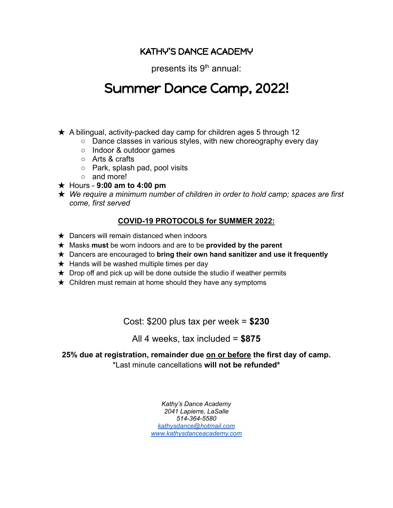## KATHY'S DANCE ACADEMY

presents its 9<sup>th</sup> annual:

# Summer Dance Camp, 2022!

- $\star$  A bilingual, activity-packed day camp for children ages 5 through 12
	- Dance classes in various styles, with new choreography every day
	- Indoor & outdoor games
	- Arts & crafts
	- Park, splash pad, pool visits
	- and more!
- ★ Hours **9:00 am to 4:00 pm**
- ★ *We require a minimum number of children in order to hold camp; spaces are first come, first served*

### **COVID-19 PROTOCOLS for SUMMER 2022:**

- $\star$  Dancers will remain distanced when indoors
- ★ Masks **must** be worn indoors and are to be **provided by the parent**
- ★ Dancers are encouraged to **bring their own hand sanitizer and use it frequently**
- $\star$  Hands will be washed multiple times per day
- $\star$  Drop off and pick up will be done outside the studio if weather permits
- $\star$  Children must remain at home should they have any symptoms

Cost: \$200 plus tax per week = **\$230**

## All 4 weeks, tax included = **\$875**

**25% due at registration, remainder due on or before the first day of camp.** \*Last minute cancellations **will not be refunded\***

> *Kathy's Dance Academy 2041 Lapierre, LaSalle 514-364-5580 [kathysdance@hotmail.com](mailto:kathysdance@hotmail.com) [www.kathysdanceacademy.com](http://www.kathysdanceacademy.com)*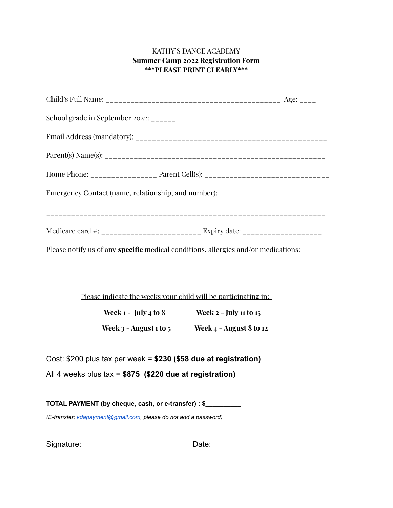#### KATHY'S DANCE ACADEMY **Summer Camp 2022 Registration Form \*\*\*PLEASE PRINT CLEARLY\*\*\***

| School grade in September 2022: ______                           |                                                                                    |  |  |  |  |  |  |
|------------------------------------------------------------------|------------------------------------------------------------------------------------|--|--|--|--|--|--|
|                                                                  |                                                                                    |  |  |  |  |  |  |
|                                                                  |                                                                                    |  |  |  |  |  |  |
|                                                                  | Home Phone: _____________________ Parent Cell(s): _______________________________  |  |  |  |  |  |  |
| Emergency Contact (name, relationship, and number):              |                                                                                    |  |  |  |  |  |  |
|                                                                  |                                                                                    |  |  |  |  |  |  |
|                                                                  |                                                                                    |  |  |  |  |  |  |
|                                                                  | Please notify us of any specific medical conditions, allergies and/or medications: |  |  |  |  |  |  |
| Please indicate the weeks your child will be participating in:   |                                                                                    |  |  |  |  |  |  |
| Week $1 - \text{July } 4 \text{ to } 8$                          | <b>Week 2 - July 11 to 15</b>                                                      |  |  |  |  |  |  |
|                                                                  | Week $3$ - August 1 to $5$ Week $4$ - August 8 to 12                               |  |  |  |  |  |  |
| Cost: \$200 plus tax per week = \$230 (\$58 due at registration) |                                                                                    |  |  |  |  |  |  |
| All 4 weeks plus tax = \$875 (\$220 due at registration)         |                                                                                    |  |  |  |  |  |  |
| TOTAL PAYMENT (by cheque, cash, or e-transfer) : \$              |                                                                                    |  |  |  |  |  |  |

*(E-transfer: [kdapayment@gmail.com,](mailto:kdapayment@gmail.com) please do not add a password)*

Signature: \_\_\_\_\_\_\_\_\_\_\_\_\_\_\_\_\_\_\_\_\_\_\_\_\_ Date: \_\_\_\_\_\_\_\_\_\_\_\_\_\_\_\_\_\_\_\_\_\_\_\_\_\_\_\_\_